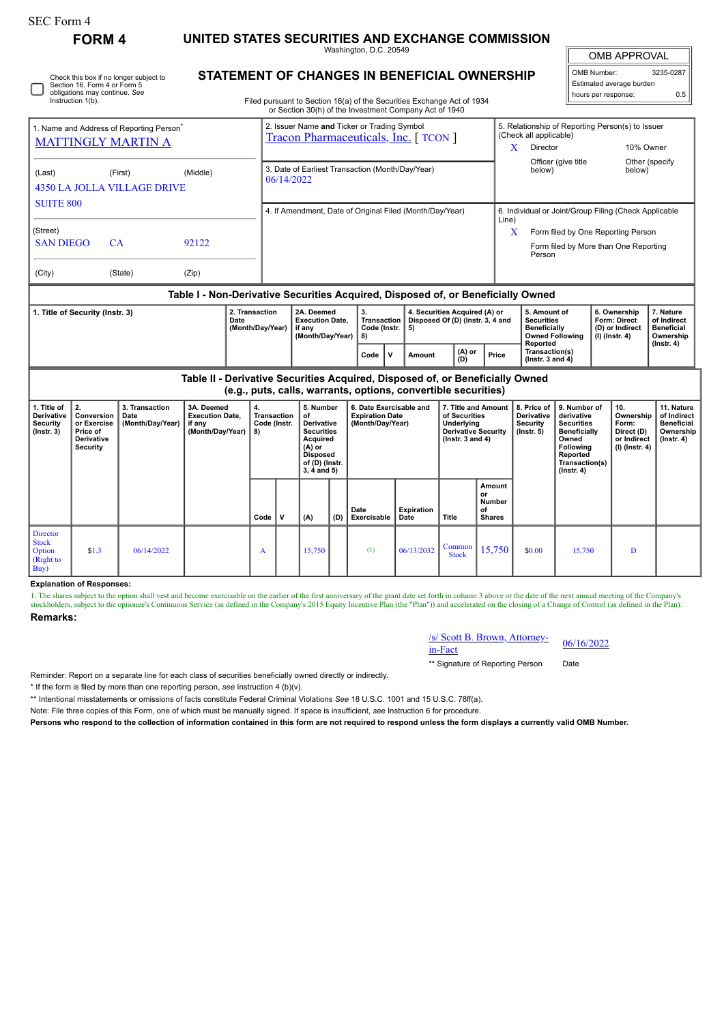| SEC Form 4<br>UNITED STATES SECURITIES AND EXCHANGE COMMISSION<br><b>FORM4</b><br>Washington, D.C. 20549       |                                                                                                                                                                                                  |                                                                                                                                                                                         |       |                                            |                                                                                             |                                                                    |                                                                                                                         |                                                                                    |                           |                                                                                                            |                                               |                                                                                                                                                                       |                                                                                                                                    |                                                                     |                                                                          |                                                                                 |
|----------------------------------------------------------------------------------------------------------------|--------------------------------------------------------------------------------------------------------------------------------------------------------------------------------------------------|-----------------------------------------------------------------------------------------------------------------------------------------------------------------------------------------|-------|--------------------------------------------|---------------------------------------------------------------------------------------------|--------------------------------------------------------------------|-------------------------------------------------------------------------------------------------------------------------|------------------------------------------------------------------------------------|---------------------------|------------------------------------------------------------------------------------------------------------|-----------------------------------------------|-----------------------------------------------------------------------------------------------------------------------------------------------------------------------|------------------------------------------------------------------------------------------------------------------------------------|---------------------------------------------------------------------|--------------------------------------------------------------------------|---------------------------------------------------------------------------------|
|                                                                                                                | Check this box if no longer subject to<br>Section 16. Form 4 or Form 5<br>obligations may continue. See<br>Instruction 1(b).                                                                     | <b>STATEMENT OF CHANGES IN BENEFICIAL OWNERSHIP</b><br>Filed pursuant to Section 16(a) of the Securities Exchange Act of 1934<br>or Section 30(h) of the Investment Company Act of 1940 |       |                                            |                                                                                             |                                                                    |                                                                                                                         |                                                                                    |                           |                                                                                                            |                                               | <b>OMB APPROVAL</b><br>OMB Number:<br>Estimated average burden<br>hours per response:                                                                                 |                                                                                                                                    |                                                                     | 3235-0287<br>0.5                                                         |                                                                                 |
| 1. Name and Address of Reporting Person <sup>7</sup><br><b>MATTINGLY MARTIN A</b>                              |                                                                                                                                                                                                  |                                                                                                                                                                                         |       |                                            | 2. Issuer Name and Ticker or Trading Symbol<br><b>Tracon Pharmaceuticals, Inc.</b> [ TCON ] |                                                                    |                                                                                                                         |                                                                                    |                           |                                                                                                            |                                               | 5. Relationship of Reporting Person(s) to Issuer<br>(Check all applicable)<br>Director<br>10% Owner<br>X<br>Officer (give title<br>Other (specify<br>below)<br>below) |                                                                                                                                    |                                                                     |                                                                          |                                                                                 |
| (Middle)<br>(Last)<br>(First)<br><b>4350 LA JOLLA VILLAGE DRIVE</b><br><b>SUITE 800</b>                        |                                                                                                                                                                                                  |                                                                                                                                                                                         |       |                                            | 3. Date of Earliest Transaction (Month/Day/Year)<br>06/14/2022                              |                                                                    |                                                                                                                         |                                                                                    |                           |                                                                                                            |                                               |                                                                                                                                                                       |                                                                                                                                    |                                                                     |                                                                          |                                                                                 |
| (Street)<br><b>SAN DIEGO</b><br>CA                                                                             |                                                                                                                                                                                                  |                                                                                                                                                                                         | 92122 |                                            |                                                                                             |                                                                    |                                                                                                                         | 4. If Amendment, Date of Original Filed (Month/Day/Year)                           |                           |                                                                                                            |                                               | 6. Individual or Joint/Group Filing (Check Applicable<br>Line)<br>X<br>Form filed by One Reporting Person<br>Form filed by More than One Reporting<br>Person          |                                                                                                                                    |                                                                     |                                                                          |                                                                                 |
| (Zip)<br>(City)<br>(State)<br>Table I - Non-Derivative Securities Acquired, Disposed of, or Beneficially Owned |                                                                                                                                                                                                  |                                                                                                                                                                                         |       |                                            |                                                                                             |                                                                    |                                                                                                                         |                                                                                    |                           |                                                                                                            |                                               |                                                                                                                                                                       |                                                                                                                                    |                                                                     |                                                                          |                                                                                 |
| 1. Title of Security (Instr. 3)                                                                                |                                                                                                                                                                                                  |                                                                                                                                                                                         |       | 2. Transaction<br>Date<br>(Month/Day/Year) |                                                                                             | 2A. Deemed<br><b>Execution Date.</b><br>if anv<br>(Month/Day/Year) |                                                                                                                         | 3.<br>Transaction   Disposed Of (D) (Instr. 3, 4 and<br>Code (Instr.  <br>5)<br>8) |                           | 4. Securities Acquired (A) or                                                                              |                                               | 5. Amount of<br><b>Securities</b><br><b>Beneficially</b><br>Reported                                                                                                  | <b>Owned Following</b>                                                                                                             | 6. Ownership<br>Form: Direct<br>(D) or Indirect<br>$(I)$ (Instr. 4) |                                                                          | 7. Nature<br>of Indirect<br><b>Beneficial</b><br>Ownership<br>$($ Instr. 4 $)$  |
|                                                                                                                |                                                                                                                                                                                                  |                                                                                                                                                                                         |       |                                            |                                                                                             |                                                                    |                                                                                                                         |                                                                                    | $\mathbf v$<br>Amount     | (A) or<br>(D)                                                                                              | Price                                         | Transaction(s)<br>$($ lnstr. 3 and 4 $)$                                                                                                                              |                                                                                                                                    |                                                                     |                                                                          |                                                                                 |
|                                                                                                                | Table II - Derivative Securities Acquired, Disposed of, or Beneficially Owned<br>(e.g., puts, calls, warrants, options, convertible securities)                                                  |                                                                                                                                                                                         |       |                                            |                                                                                             |                                                                    |                                                                                                                         |                                                                                    |                           |                                                                                                            |                                               |                                                                                                                                                                       |                                                                                                                                    |                                                                     |                                                                          |                                                                                 |
| 1. Title of<br><b>Derivative</b><br>Security<br>$($ Instr. 3 $)$                                               | 2.<br>3. Transaction<br>3A. Deemed<br><b>Execution Date.</b><br>Conversion<br>Date<br>or Exercise<br>(Month/Day/Year)<br>if any<br>(Month/Day/Year)<br>Price of<br><b>Derivative</b><br>Security |                                                                                                                                                                                         |       | 4.<br>8)                                   | <b>Transaction</b><br>Code (Instr.                                                          |                                                                    | 5. Number<br><b>Derivative</b><br><b>Securities</b><br>Acquired<br><b>Disposed</b><br>of (D) (Instr.<br>$3, 4$ and $5)$ | 6. Date Exercisable and<br><b>Expiration Date</b><br>(Month/Day/Year)              |                           | 7. Title and Amount<br>of Securities<br>Underlying<br><b>Derivative Security</b><br>$($ lnstr. 3 and 4 $)$ |                                               | 8. Price of<br><b>Derivative</b><br><b>Security</b><br>$($ lnstr. 5 $)$                                                                                               | 9. Number of<br>derivative<br><b>Securities</b><br>Beneficially<br>Owned<br>Following<br>Reported<br>Transaction(s)<br>(Insert. 4) |                                                                     | 10.<br>Ownership<br>Form:<br>Direct (D)<br>or Indirect<br>(I) (Instr. 4) | 11. Nature<br>of Indirect<br><b>Beneficial</b><br>Ownership<br>$($ Instr. 4 $)$ |
|                                                                                                                |                                                                                                                                                                                                  |                                                                                                                                                                                         |       | Code                                       | $\mathbf{v}$                                                                                | (A)                                                                | (D)                                                                                                                     | Date<br>Exercisable                                                                | <b>Expiration</b><br>Date | Title                                                                                                      | Amount<br>or<br>Number<br>οf<br><b>Shares</b> |                                                                                                                                                                       |                                                                                                                                    |                                                                     |                                                                          |                                                                                 |

**Explanation of Responses:**

1. The shares subject to the option shall vest and become exercisable on the earlier of the first anniversary of the grant date set forth in column 3 above or the date of the next annual meeting of the Company's stockholde

## **Remarks:**

Director Stock Option (Right to Buy)

## /s/ Scott B. Brown, Attorney- $\frac{\text{is/ Scott B. Brown, Attoney}}{06/16/2022}$

\*\* Signature of Reporting Person Date

 $\begin{array}{|c|c|c|c|c|c|c|c|} \hline \text{Common} & 15,750 & \text{ } & 15,750 & D \\ \hline \end{array}$ 

Reminder: Report on a separate line for each class of securities beneficially owned directly or indirectly.

\* If the form is filed by more than one reporting person, *see* Instruction 4 (b)(v).

\*\* Intentional misstatements or omissions of facts constitute Federal Criminal Violations *See* 18 U.S.C. 1001 and 15 U.S.C. 78ff(a).

\$1.3 06/14/2022 <sup>A</sup> 15,750 (1) 06/13/2032 Common

Note: File three copies of this Form, one of which must be manually signed. If space is insufficient, *see* Instruction 6 for procedure.

**Persons who respond to the collection of information contained in this form are not required to respond unless the form displays a currently valid OMB Number.**